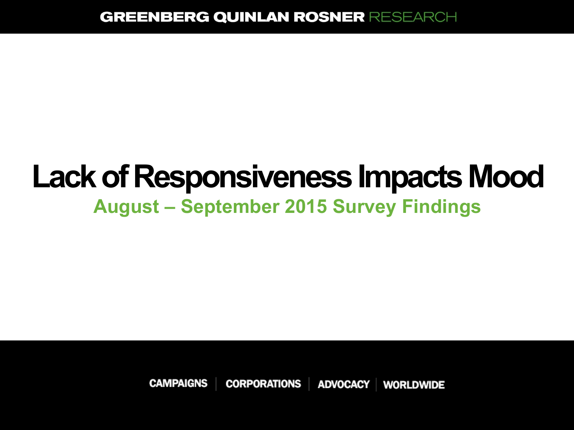# **Lack of Responsiveness Impacts Mood August – September 2015 Survey Findings**

**CAMPAIGNS CORPORATIONS ADVOCACY WORLDWIDE**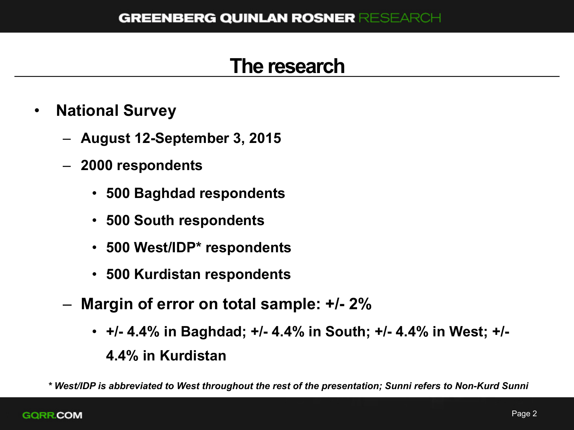#### **The research**

- **National Survey** 
	- **August 12-September 3, 2015**
	- **2000 respondents** 
		- **500 Baghdad respondents**
		- **500 South respondents**
		- **500 West/IDP\* respondents**
		- **500 Kurdistan respondents**
	- **Margin of error on total sample: +/- 2%** 
		- **+/- 4.4% in Baghdad; +/- 4.4% in South; +/- 4.4% in West; +/- 4.4% in Kurdistan**

*\* West/IDP is abbreviated to West throughout the rest of the presentation; Sunni refers to Non-Kurd Sunni*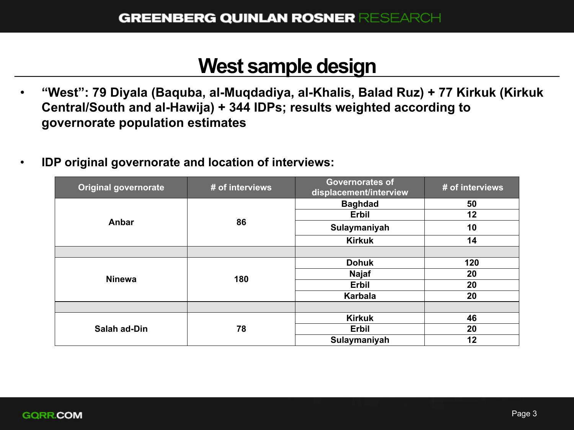#### **West sample design**

- **"West": 79 Diyala (Baquba, al-Muqdadiya, al-Khalis, Balad Ruz) + 77 Kirkuk (Kirkuk Central/South and al-Hawija) + 344 IDPs; results weighted according to governorate population estimates**
- **IDP original governorate and location of interviews:**

| <b>Original governorate</b> | # of interviews | <b>Governorates of</b><br>displacement/interview | # of interviews |
|-----------------------------|-----------------|--------------------------------------------------|-----------------|
| Anbar                       | 86              | <b>Baghdad</b>                                   | 50              |
|                             |                 | Erbil                                            | 12              |
|                             |                 | Sulaymaniyah                                     | 10              |
|                             |                 | <b>Kirkuk</b>                                    | 14              |
|                             |                 |                                                  |                 |
| <b>Ninewa</b>               | 180             | <b>Dohuk</b>                                     | 120             |
|                             |                 | <b>Najaf</b>                                     | 20              |
|                             |                 | Erbil                                            | 20              |
|                             |                 | <b>Karbala</b>                                   | 20              |
|                             |                 |                                                  |                 |
| Salah ad-Din                | 78              | <b>Kirkuk</b>                                    | 46              |
|                             |                 | Erbil                                            | 20              |
|                             |                 | Sulaymaniyah                                     | 12              |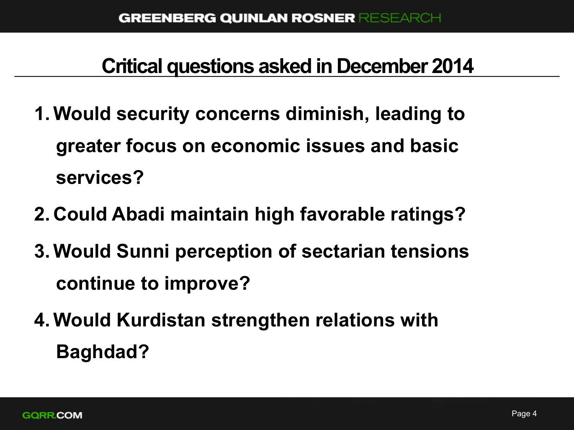### **Critical questions asked in December 2014**

- **1.Would security concerns diminish, leading to greater focus on economic issues and basic services?**
- **2. Could Abadi maintain high favorable ratings?**
- **3.Would Sunni perception of sectarian tensions continue to improve?**
- **4.Would Kurdistan strengthen relations with Baghdad?**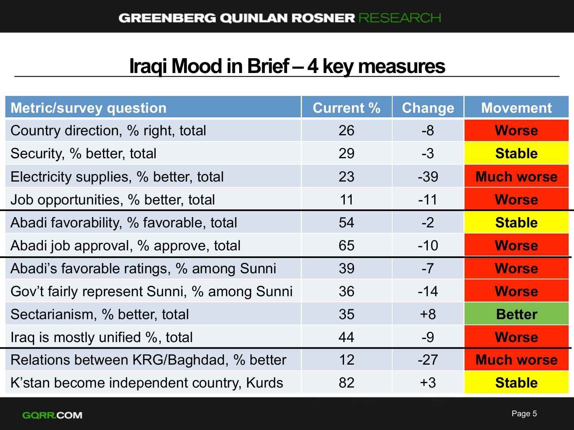## **Iraqi Mood in Brief – 4 key measures**

| <b>Metric/survey question</b>               | <b>Current %</b> | <b>Change</b> | <b>Movement</b>   |
|---------------------------------------------|------------------|---------------|-------------------|
| Country direction, % right, total           | 26               | -8            | <b>Worse</b>      |
| Security, % better, total                   | 29               | $-3$          | <b>Stable</b>     |
| Electricity supplies, % better, total       | 23               | $-39$         | <b>Much worse</b> |
| Job opportunities, % better, total          | 11               | $-11$         | <b>Worse</b>      |
| Abadi favorability, % favorable, total      | 54               | $-2$          | <b>Stable</b>     |
| Abadi job approval, % approve, total        | 65               | $-10$         | <b>Worse</b>      |
| Abadi's favorable ratings, % among Sunni    | 39               | $-7$          | <b>Worse</b>      |
| Gov't fairly represent Sunni, % among Sunni | 36               | $-14$         | <b>Worse</b>      |
| Sectarianism, % better, total               | 35               | $+8$          | <b>Better</b>     |
| Iraq is mostly unified %, total             | 44               | $-9$          | <b>Worse</b>      |
| Relations between KRG/Baghdad, % better     | 12 <sup>2</sup>  | $-27$         | <b>Much worse</b> |
| K'stan become independent country, Kurds    | 82               | $+3$          | <b>Stable</b>     |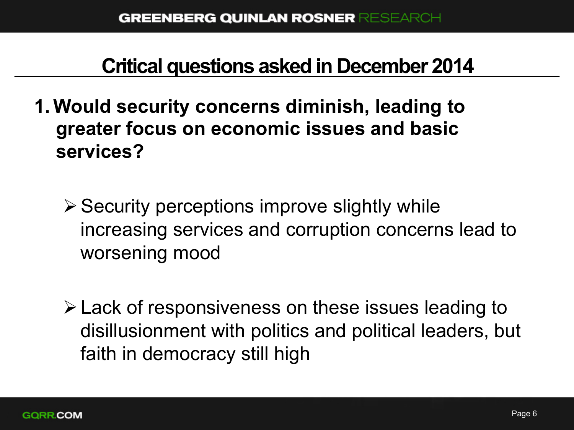#### **Critical questions asked in December 2014**

- **1.Would security concerns diminish, leading to greater focus on economic issues and basic services?** 
	- $\triangleright$  Security perceptions improve slightly while increasing services and corruption concerns lead to worsening mood
	- $\triangleright$  Lack of responsiveness on these issues leading to disillusionment with politics and political leaders, but faith in democracy still high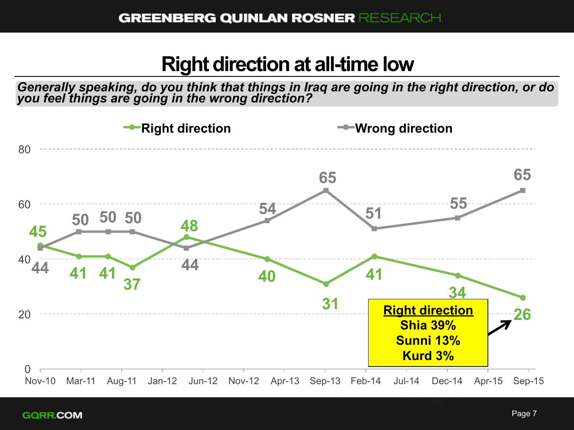#### **Right direction at all-time low**

*Generally speaking, do you think that things in Iraq are going in the right direction, or do you feel things are going in the wrong direction?* 

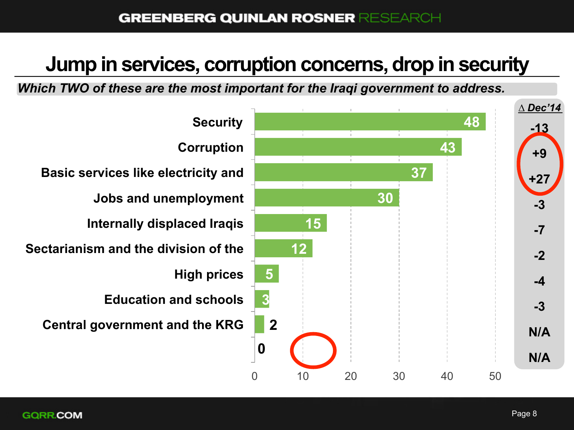### **Jump in services, corruption concerns, drop in security**

*Which TWO of these are the most important for the Iraqi government to address.*

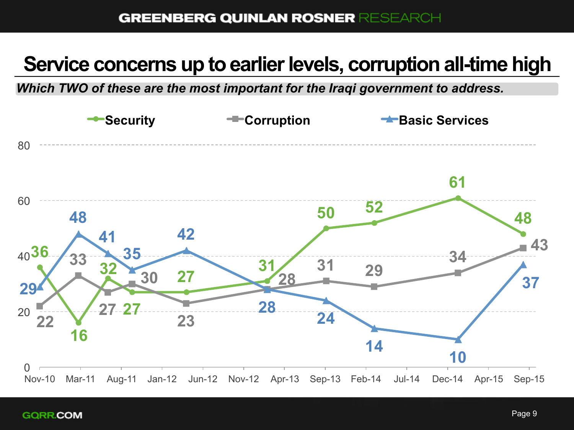## **Service concerns up to earlier levels, corruption all-time high**

*Which TWO of these are the most important for the Iraqi government to address.*

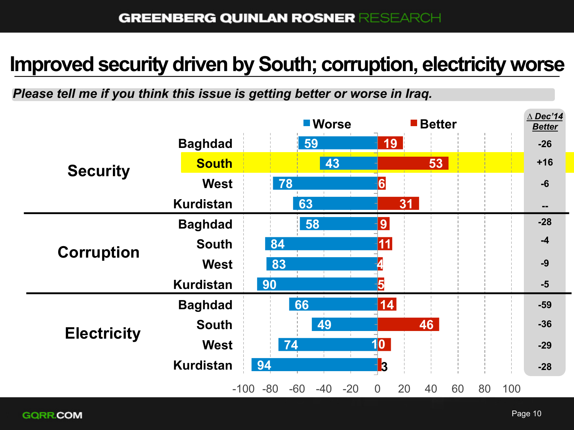#### **Improved security driven by South; corruption, electricity worse**

*Please tell me if you think this issue is getting better or worse in Iraq.*

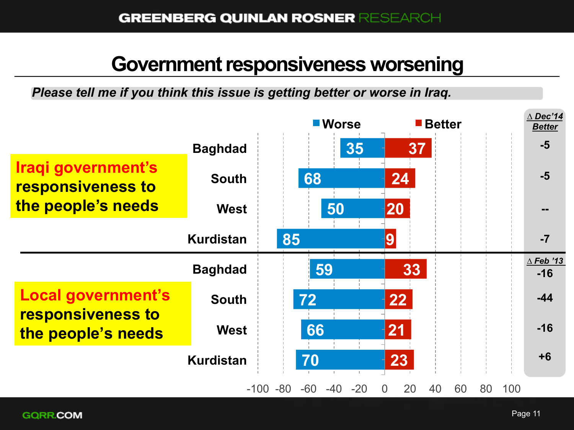#### **Government responsiveness worsening**

*Please tell me if you think this issue is getting better or worse in Iraq.*

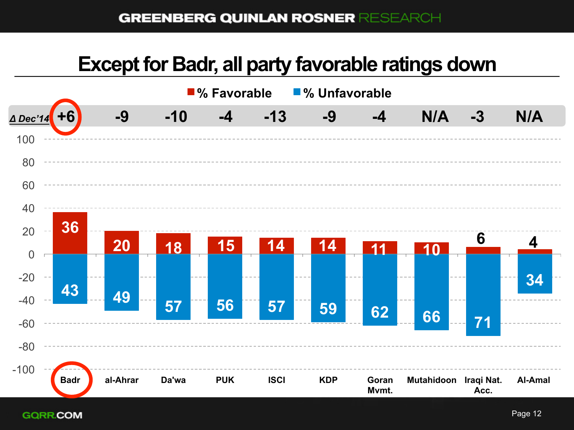#### **Except for Badr, all party favorable ratings down**



**GQRR.COM**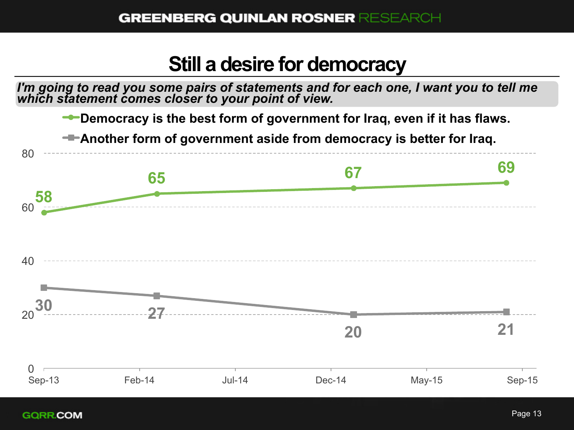#### **Still a desire for democracy**

*I'm going to read you some pairs of statements and for each one, I want you to tell me which statement comes closer to your point of view.* 



Sep-13 Feb-14 Jul-14 Dec-14 May-15 Sep-15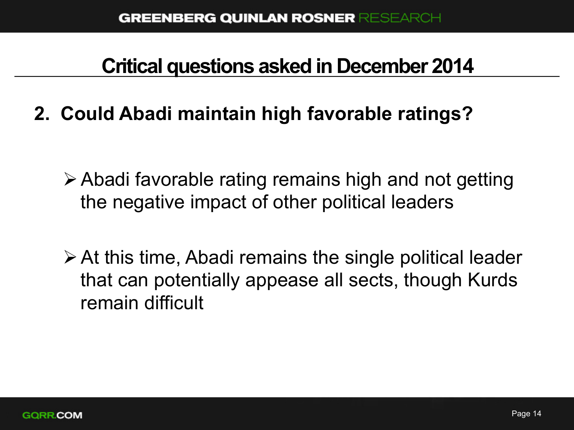#### **Critical questions asked in December 2014**

**2. Could Abadi maintain high favorable ratings?** 

- $\triangleright$  Abadi favorable rating remains high and not getting the negative impact of other political leaders
- $\triangleright$  At this time, Abadi remains the single political leader that can potentially appease all sects, though Kurds remain difficult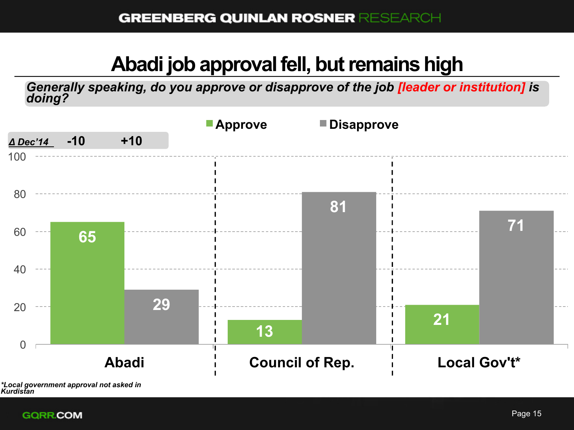## **Abadi job approval fell, but remains high**

*Generally speaking, do you approve or disapprove of the job [leader or institution] is doing?*



*<sup>\*</sup>Local government approval not asked in Kurdistan* 

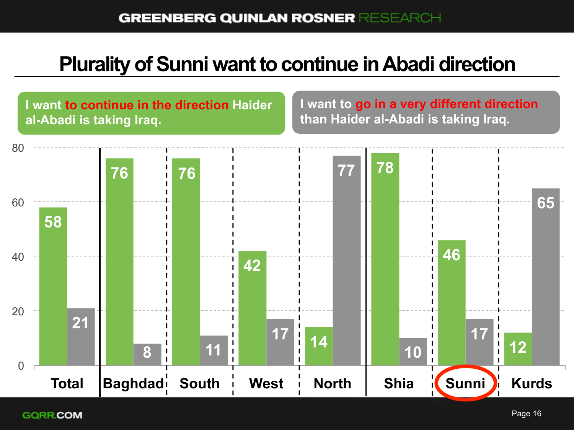## **Plurality of Sunni want to continue in Abadi direction**

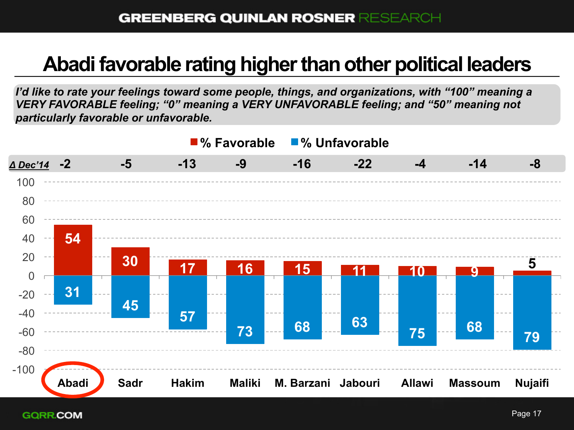#### **Abadi favorable rating higher than other political leaders**

*I'd like to rate your feelings toward some people, things, and organizations, with "100" meaning a VERY FAVORABLE feeling; "0" meaning a VERY UNFAVORABLE feeling; and "50" meaning not particularly favorable or unfavorable.* 

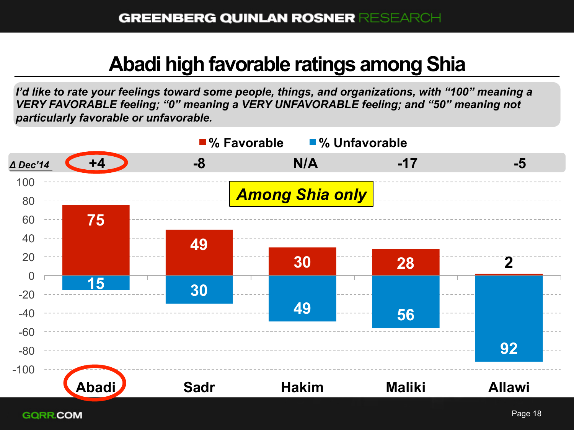## **Abadi high favorable ratings among Shia**

*I'd like to rate your feelings toward some people, things, and organizations, with "100" meaning a VERY FAVORABLE feeling; "0" meaning a VERY UNFAVORABLE feeling; and "50" meaning not particularly favorable or unfavorable.* 

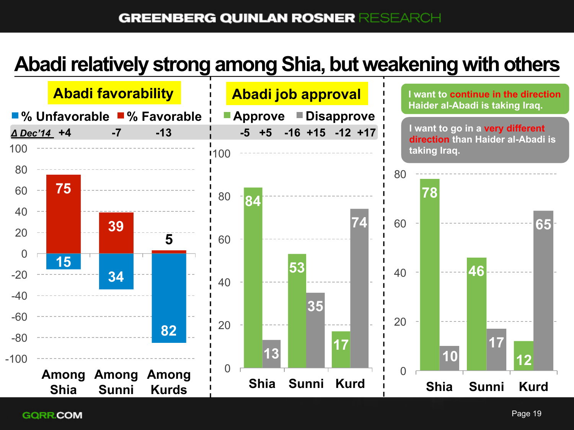### **Abadi relatively strong among Shia, but weakening with others**

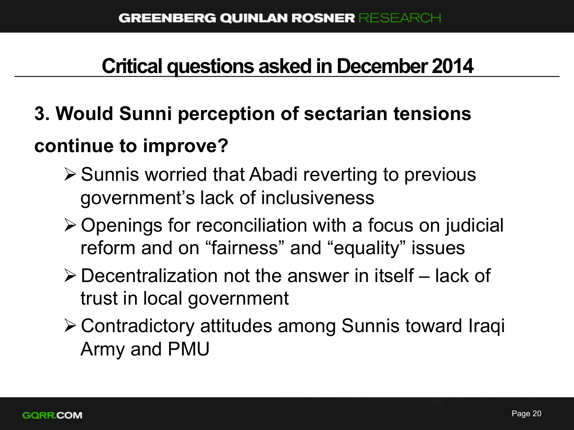### **Critical questions asked in December 2014**

# **3. Would Sunni perception of sectarian tensions continue to improve?**

- $\triangleright$  Sunnis worried that Abadi reverting to previous government's lack of inclusiveness
- $\triangleright$  Openings for reconciliation with a focus on judicial reform and on "fairness" and "equality" issues
- $\triangleright$  Decentralization not the answer in itself lack of trust in local government
- ØContradictory attitudes among Sunnis toward Iraqi Army and PMU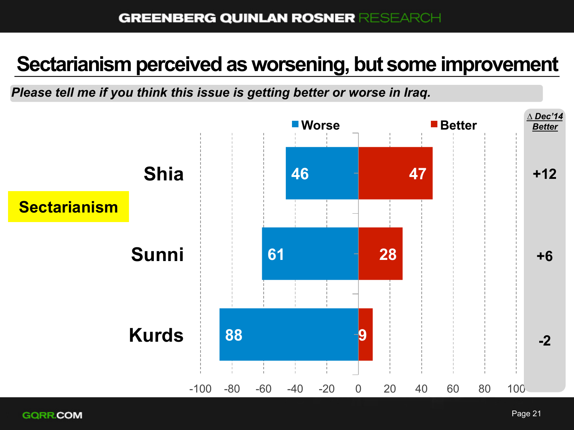#### **Sectarianism perceived as worsening, but some improvement**

*Please tell me if you think this issue is getting better or worse in Iraq.*

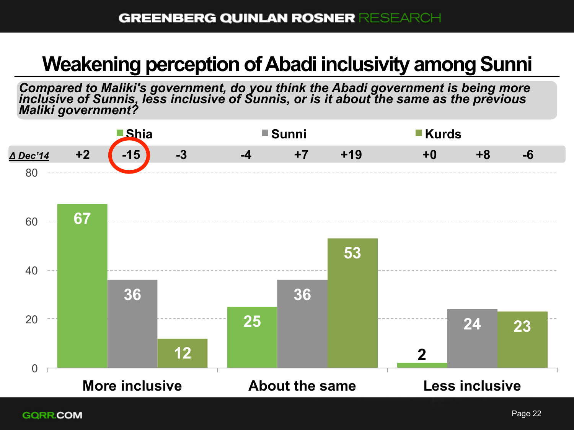## **Weakening perception of Abadi inclusivity among Sunni**

*Compared to Maliki's government, do you think the Abadi government is being more*<br>inclusive of Sunnis, less inclusive of Sunnis, or is it about the same as the previous *Maliki government?*

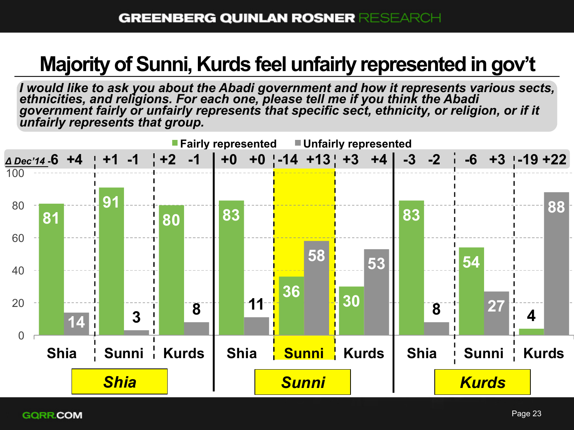## **Majority of Sunni, Kurds feel unfairly represented in gov't**

*I* would like to ask you about the Abadi government and how it represents various sects, ethnicities, and religions. For each one, please tell me if you think the Abadi *government fairly or unfairly represents that specific sect, ethnicity, or religion, or if it unfairly represents that group.*

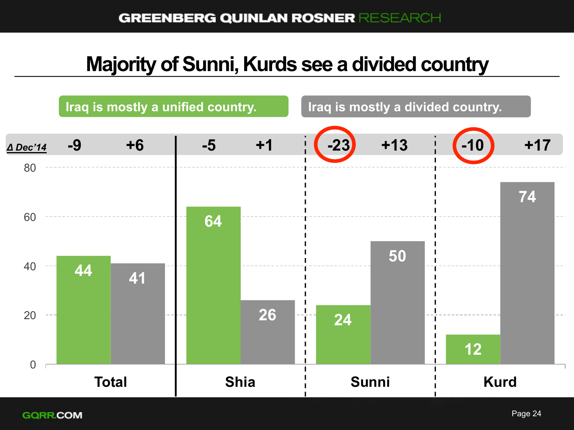### **Majority of Sunni, Kurds see a divided country**

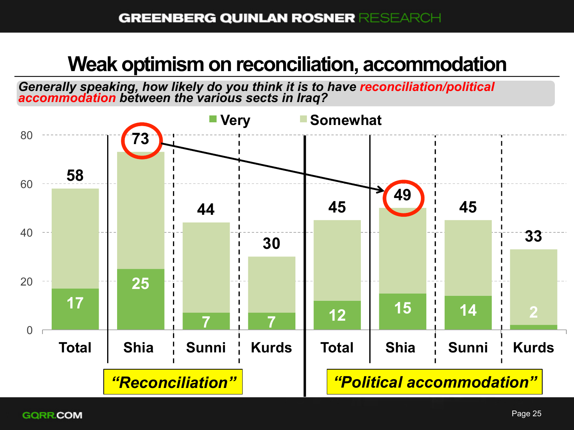#### **Weak optimism on reconciliation, accommodation**

*Generally speaking, how likely do you think it is to have reconciliation/political accommodation between the various sects in Iraq?* 

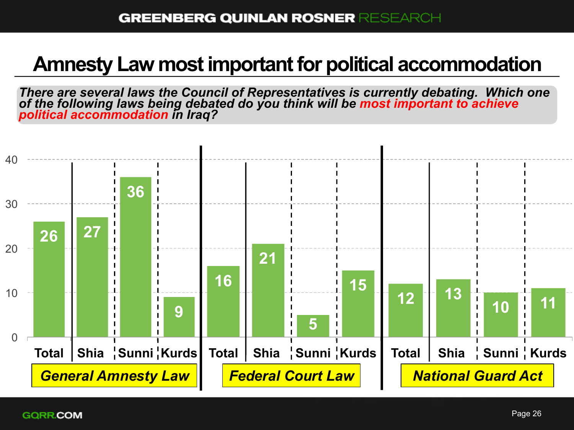### **Amnesty Law most important for political accommodation**

*There are several laws the Council of Representatives is currently debating. Which one of the following laws being debated do you think will be most important to achieve political accommodation in Iraq?*

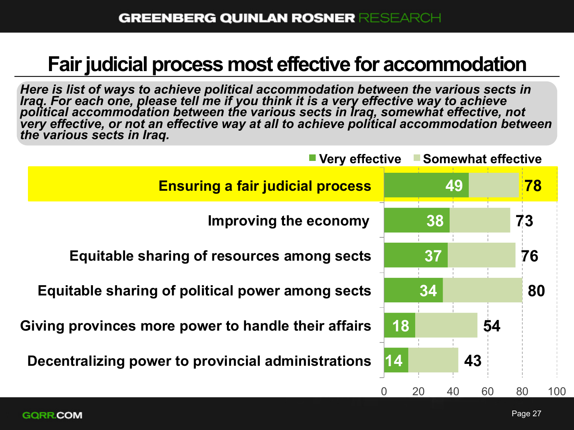#### **Fair judicial process most effective for accommodation**

*Here is list of ways to achieve political accommodation between the various sects in Iraq. For each one, please tell me if you think it is a very effective way to achieve political accommodation between the various sects in Iraq, somewhat effective, not very effective, or not an effective way at all to achieve political accommodation between the various sects in Iraq.*

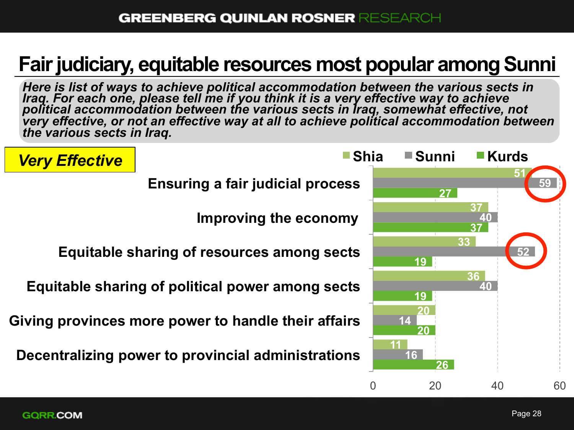## **Fair judiciary, equitable resources most popular among Sunni**

*Here is list of ways to achieve political accommodation between the various sects in Iraq. For each one, please tell me if you think it is a very effective way to achieve political accommodation between the various sects in Iraq, somewhat effective, not very effective, or not an effective way at all to achieve political accommodation between the various sects in Iraq.*

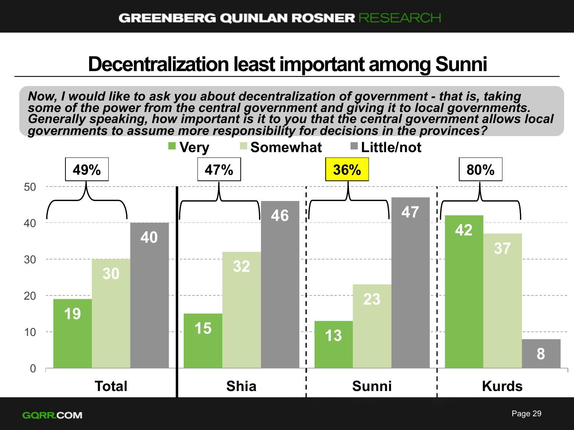#### **Decentralization least important among Sunni**

*Now, I would like to ask you about decentralization of government - that is, taking some of the power from the central government and giving it to local governments. Generally speaking, how important is it to you that the central government allows local governments to assume more responsibility for decisions in the provinces?*

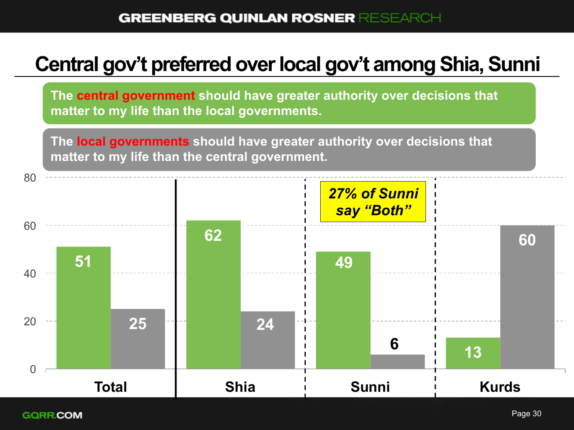### **Central gov't preferred over local gov't among Shia, Sunni**

**The central government should have greater authority over decisions that matter to my life than the local governments.** 

**The local governments should have greater authority over decisions that matter to my life than the central government.** 

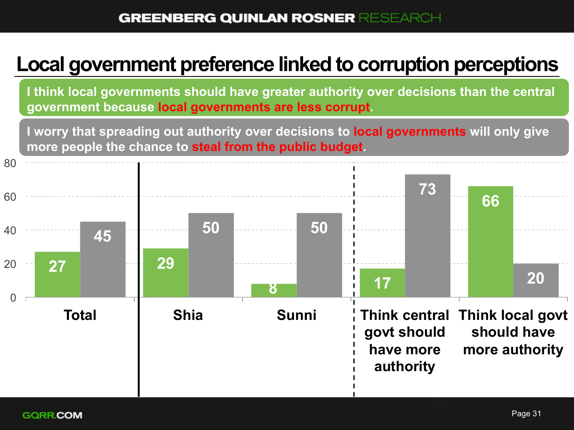### **Local government preference linked to corruption perceptions**

**I think local governments should have greater authority over decisions than the central government because local governments are less corrupt.** 

more people the chance to steal from the public budget. **I worry that spreading out authority over decisions to local governments will only give** 

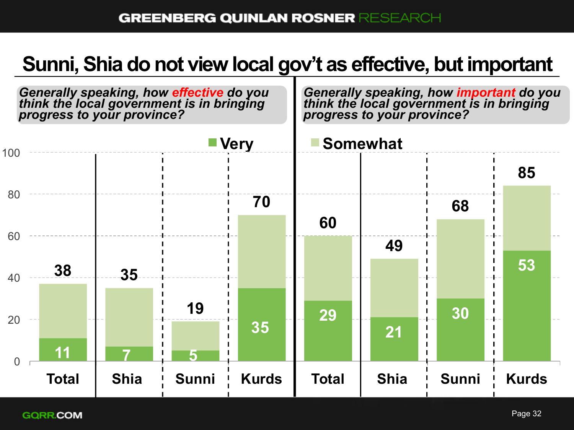### **Sunni, Shia do not view local gov't as effective, but important**

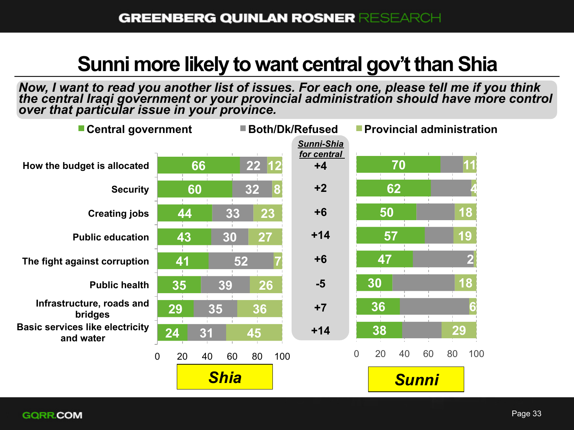#### **Sunni more likely to want central gov't than Shia**

*Now, I want to read you another list of issues. For each one, please tell me if you think the central Iraqi government or your provincial administration should have more control over that particular issue in your province.*

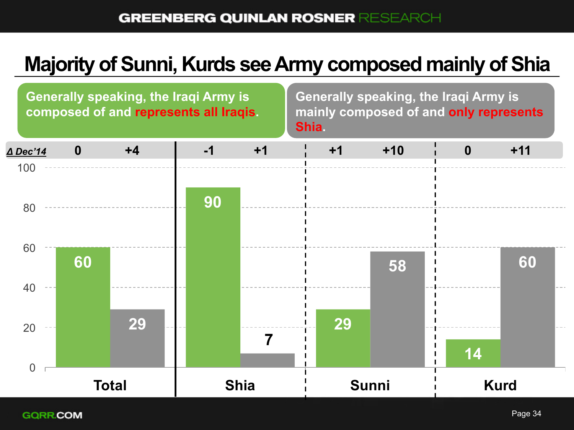## **Majority of Sunni, Kurds see Army composed mainly of Shia**

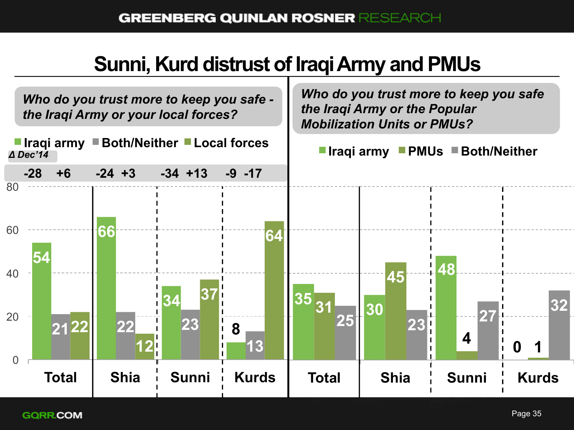## **Sunni, Kurd distrust of Iraqi Army and PMUs**

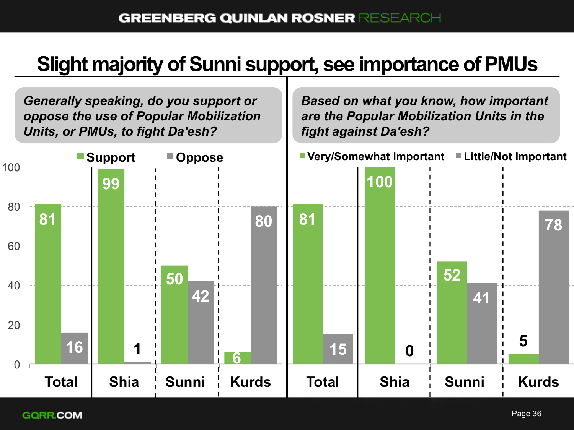## **Slight majority of Sunni support, see importance of PMUs**

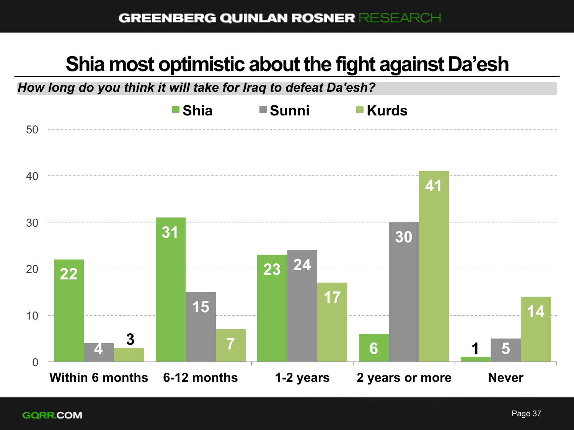## **Shia most optimistic about the fight against Da'esh**

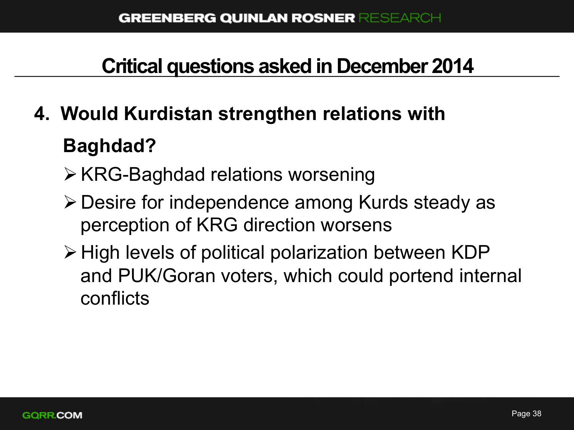## **Critical questions asked in December 2014**

# **4. Would Kurdistan strengthen relations with Baghdad?**

- $\triangleright$  KRG-Baghdad relations worsening
- ØDesire for independence among Kurds steady as perception of KRG direction worsens
- $\triangleright$  High levels of political polarization between KDP and PUK/Goran voters, which could portend internal conflicts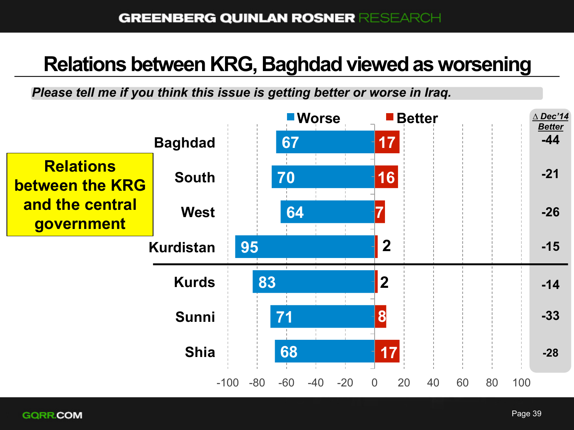#### **Relations between KRG, Baghdad viewed as worsening**

*Please tell me if you think this issue is getting better or worse in Iraq.*

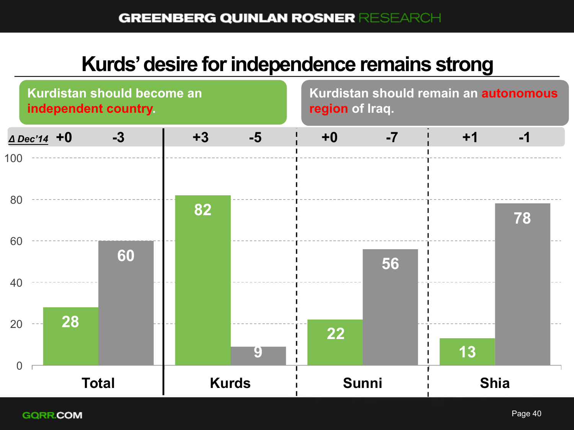#### **Kurds' desire for independence remains strong**

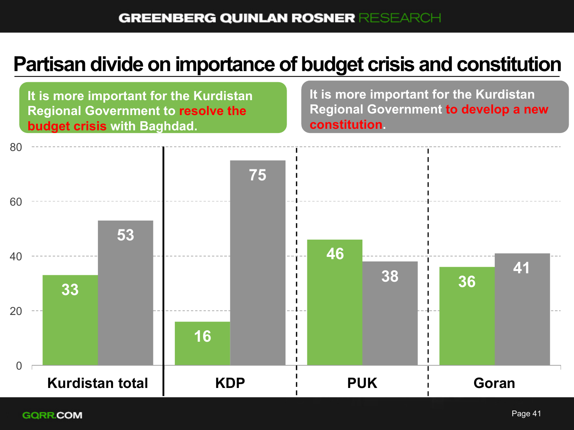### **Partisan divide on importance of budget crisis and constitution**

**33 16 46 36 53 75 <sup>38</sup><sup>41</sup>** 0 20 40 60 80 Kurdistan total | KDP i PUK i Goran **It is more important for the Kurdistan Regional Government to resolve the budget crisis with Baghdad. It is more important for the Kurdistan Regional Government to develop a new constitution.**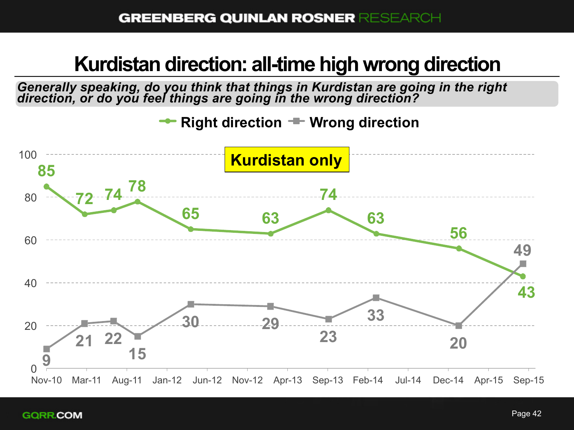#### **Kurdistan direction: all-time high wrong direction**

*Generally speaking, do you think that things in Kurdistan are going in the right direction, or do you feel things are going in the wrong direction?* 

**Right direction**  $\equiv$  **Wrong direction** 

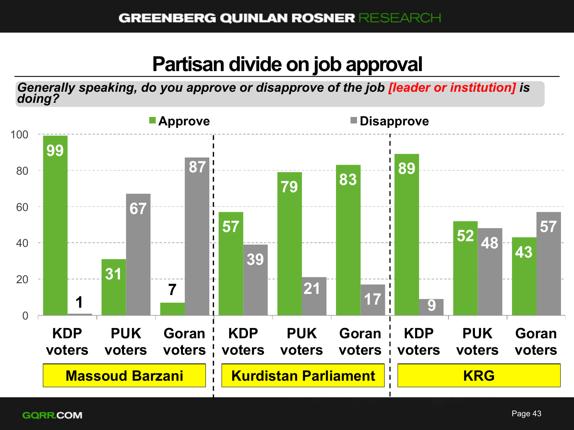#### **Partisan divide on job approval**

*Generally speaking, do you approve or disapprove of the job [leader or institution] is doing?*

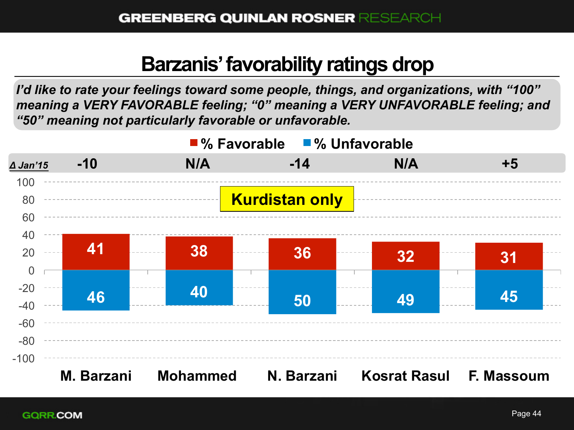### **Barzanis' favorability ratings drop**

*I'd like to rate your feelings toward some people, things, and organizations, with "100" meaning a VERY FAVORABLE feeling; "0" meaning a VERY UNFAVORABLE feeling; and "50" meaning not particularly favorable or unfavorable.* 

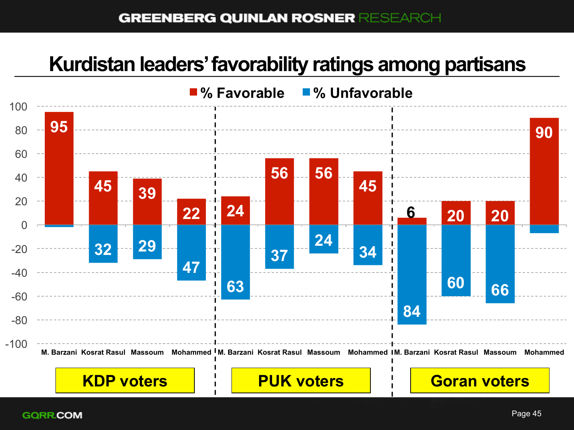#### **GREENBERG QUINLAN ROSNER RESEARCH**

#### **Kurdistan leaders' favorability ratings among partisans**

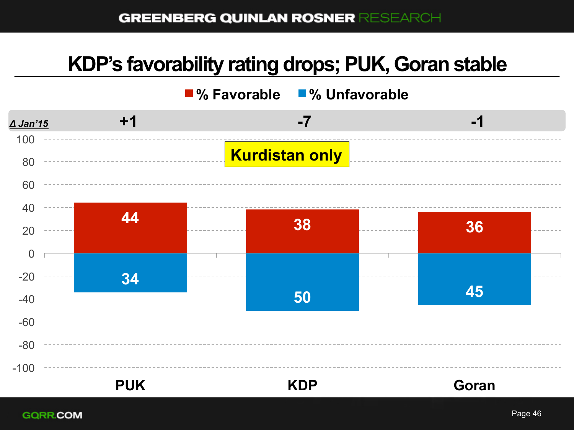#### **KDP's favorability rating drops; PUK, Goran stable**

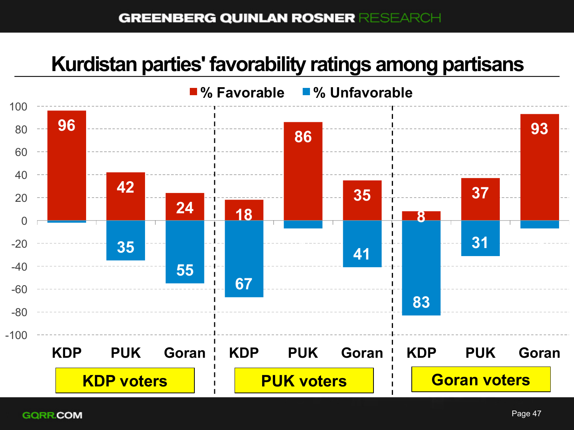#### **GREENBERG QUINLAN ROSNER RESEARCH**

#### **Kurdistan parties' favorability ratings among partisans**

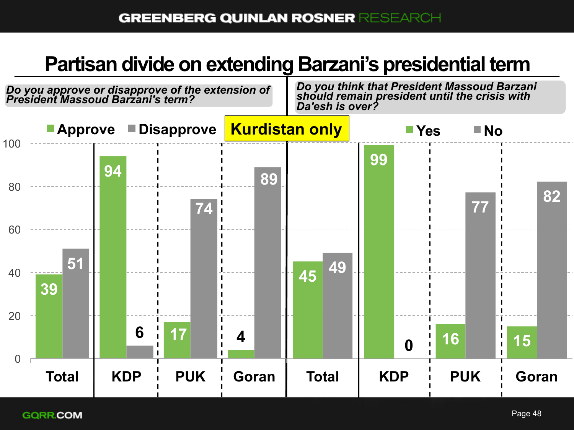## **Partisan divide on extending Barzani's presidential term**

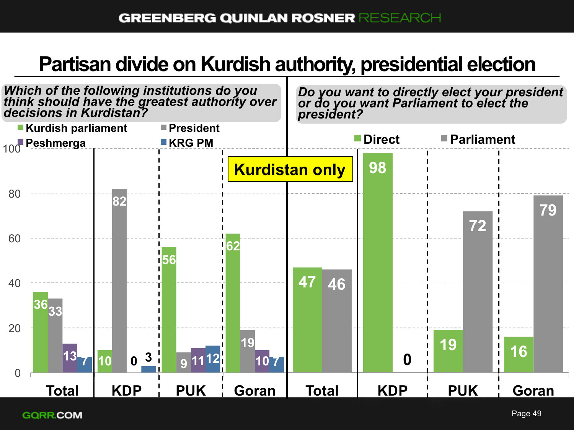## **Partisan divide on Kurdish authority, presidential election**